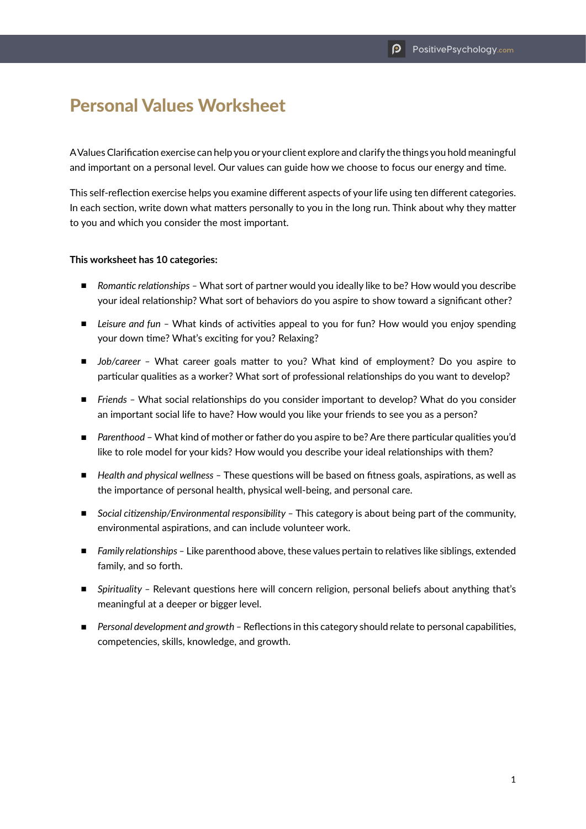## Personal Values Worksheet

A Values Clarification exercise can help you or your client explore and clarify the things you hold meaningful and important on a personal level. Our values can guide how we choose to focus our energy and time.

This self-reflection exercise helps you examine different aspects of your life using ten different categories. In each section, write down what matters personally to you in the long run. Think about why they matter to you and which you consider the most important.

## **This worksheet has 10 categories:**

- *Romantic relationships* What sort of partner would you ideally like to be? How would you describe your ideal relationship? What sort of behaviors do you aspire to show toward a significant other?
- *Leisure and fun* What kinds of activities appeal to you for fun? How would you enjoy spending your down time? What's exciting for you? Relaxing?
- *Job/career –* What career goals matter to you? What kind of employment? Do you aspire to particular qualities as a worker? What sort of professional relationships do you want to develop?
- *Friends* What social relationships do you consider important to develop? What do you consider an important social life to have? How would you like your friends to see you as a person?
- *Parenthood –* What kind of mother or father do you aspire to be? Are there particular qualities you'd like to role model for your kids? How would you describe your ideal relationships with them?
- *Health and physical wellness* These questions will be based on fitness goals, aspirations, as well as the importance of personal health, physical well-being, and personal care.
- *Social citizenship/Environmental responsibility –* This category is about being part of the community, environmental aspirations, and can include volunteer work.
- *Family relationships –* Like parenthood above, these values pertain to relatives like siblings, extended family, and so forth.
- *Spirituality Relevant questions here will concern religion, personal beliefs about anything that's* meaningful at a deeper or bigger level.
- *Personal development and growth* Reflections in this category should relate to personal capabilities, competencies, skills, knowledge, and growth.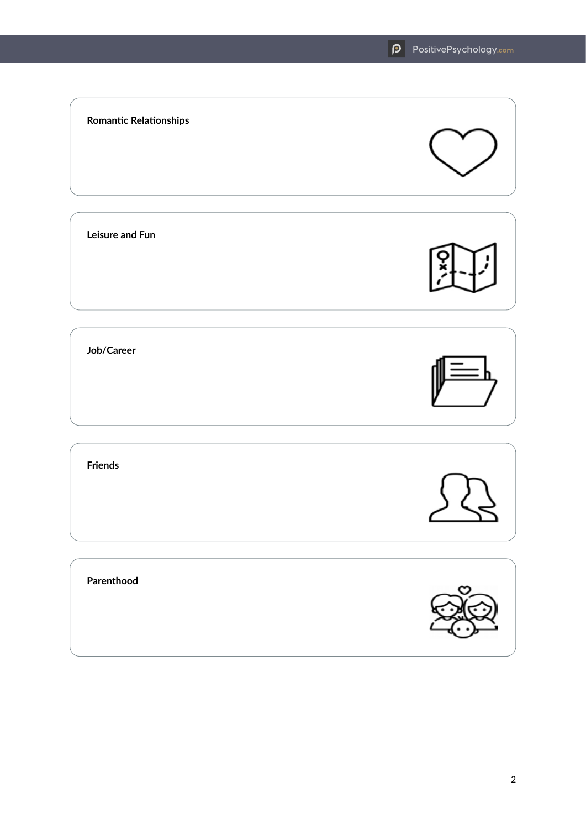## **Romantic Relationships Leisure and Fun Job/Career Friends Parenthood**